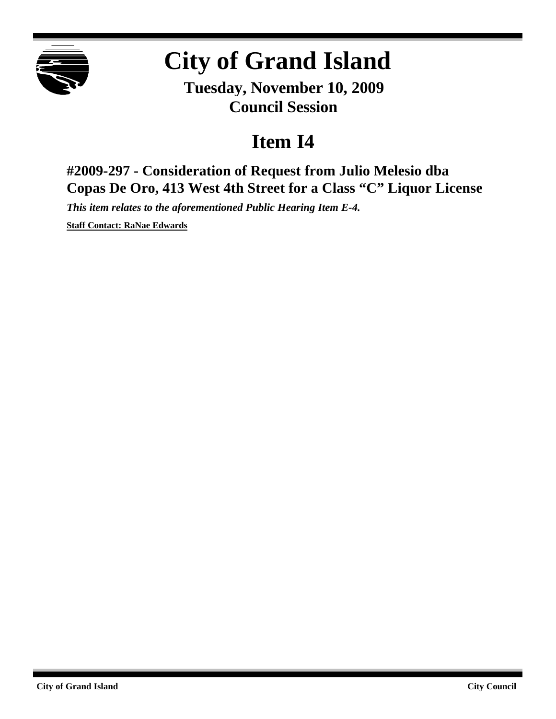

## **City of Grand Island**

**Tuesday, November 10, 2009 Council Session**

## **Item I4**

**#2009-297 - Consideration of Request from Julio Melesio dba Copas De Oro, 413 West 4th Street for a Class "C" Liquor License**

*This item relates to the aforementioned Public Hearing Item E-4.*

**Staff Contact: RaNae Edwards**